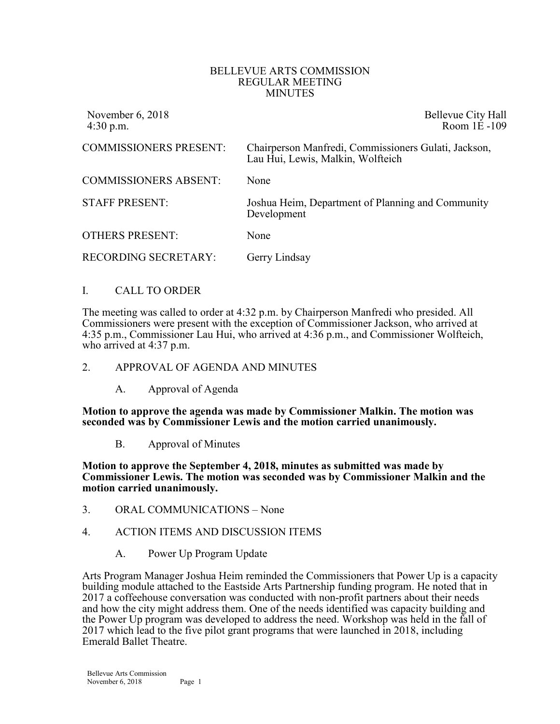#### BELLEVUE ARTS COMMISSION REGULAR MEETING MINUTES

| November 6, 2018<br>$4:30$ p.m. | Bellevue City Hall<br>Room 1E-109                                                         |
|---------------------------------|-------------------------------------------------------------------------------------------|
| <b>COMMISSIONERS PRESENT:</b>   | Chairperson Manfredi, Commissioners Gulati, Jackson,<br>Lau Hui, Lewis, Malkin, Wolfteich |
| <b>COMMISSIONERS ABSENT:</b>    | None                                                                                      |
| <b>STAFF PRESENT:</b>           | Joshua Heim, Department of Planning and Community<br>Development                          |
| <b>OTHERS PRESENT:</b>          | None                                                                                      |
| <b>RECORDING SECRETARY:</b>     | Gerry Lindsay                                                                             |

## I. CALL TO ORDER

The meeting was called to order at 4:32 p.m. by Chairperson Manfredi who presided. All Commissioners were present with the exception of Commissioner Jackson, who arrived at 4:35 p.m., Commissioner Lau Hui, who arrived at 4:36 p.m., and Commissioner Wolfteich, who arrived at 4:37 p.m.

## 2. APPROVAL OF AGENDA AND MINUTES

A. Approval of Agenda

**Motion to approve the agenda was made by Commissioner Malkin. The motion was seconded was by Commissioner Lewis and the motion carried unanimously.**

B. Approval of Minutes

**Motion to approve the September 4, 2018, minutes as submitted was made by Commissioner Lewis. The motion was seconded was by Commissioner Malkin and the motion carried unanimously.**

- 3. ORAL COMMUNICATIONS None
- 4. ACTION ITEMS AND DISCUSSION ITEMS
	- A. Power Up Program Update

Arts Program Manager Joshua Heim reminded the Commissioners that Power Up is a capacity building module attached to the Eastside Arts Partnership funding program. He noted that in 2017 a coffeehouse conversation was conducted with non-profit partners about their needs and how the city might address them. One of the needs identified was capacity building and the Power Up program was developed to address the need. Workshop was held in the fall of 2017 which lead to the five pilot grant programs that were launched in 2018, including Emerald Ballet Theatre.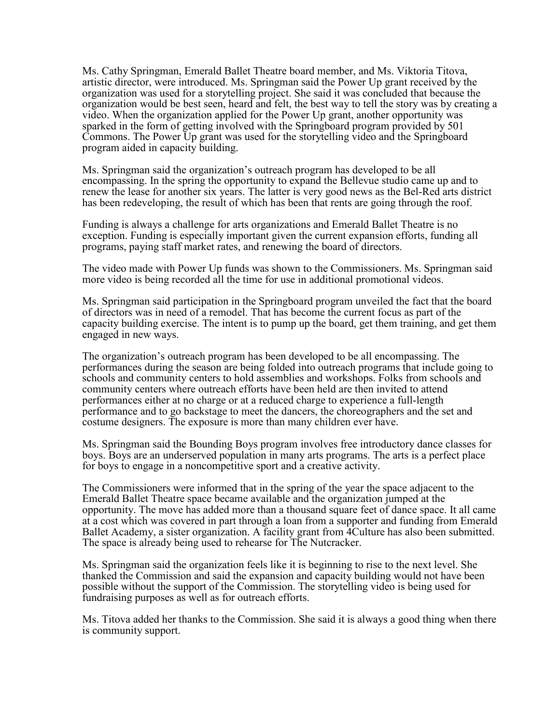Ms. Cathy Springman, Emerald Ballet Theatre board member, and Ms. Viktoria Titova, artistic director, were introduced. Ms. Springman said the Power Up grant received by the organization was used for a storytelling project. She said it was concluded that because the organization would be best seen, heard and felt, the best way to tell the story was by creating a video. When the organization applied for the Power Up grant, another opportunity was sparked in the form of getting involved with the Springboard program provided by 501 Commons. The Power Up grant was used for the storytelling video and the Springboard program aided in capacity building.

Ms. Springman said the organization's outreach program has developed to be all encompassing. In the spring the opportunity to expand the Bellevue studio came up and to renew the lease for another six years. The latter is very good news as the Bel-Red arts district has been redeveloping, the result of which has been that rents are going through the roof.

Funding is always a challenge for arts organizations and Emerald Ballet Theatre is no exception. Funding is especially important given the current expansion efforts, funding all programs, paying staff market rates, and renewing the board of directors.

The video made with Power Up funds was shown to the Commissioners. Ms. Springman said more video is being recorded all the time for use in additional promotional videos.

Ms. Springman said participation in the Springboard program unveiled the fact that the board of directors was in need of a remodel. That has become the current focus as part of the capacity building exercise. The intent is to pump up the board, get them training, and get them engaged in new ways.

The organization's outreach program has been developed to be all encompassing. The performances during the season are being folded into outreach programs that include going to schools and community centers to hold assemblies and workshops. Folks from schools and community centers where outreach efforts have been held are then invited to attend performances either at no charge or at a reduced charge to experience a full-length performance and to go backstage to meet the dancers, the choreographers and the set and costume designers. The exposure is more than many children ever have.

Ms. Springman said the Bounding Boys program involves free introductory dance classes for boys. Boys are an underserved population in many arts programs. The arts is a perfect place for boys to engage in a noncompetitive sport and a creative activity.

The Commissioners were informed that in the spring of the year the space adjacent to the Emerald Ballet Theatre space became available and the organization jumped at the opportunity. The move has added more than a thousand square feet of dance space. It all came at a cost which was covered in part through a loan from a supporter and funding from Emerald Ballet Academy, a sister organization. A facility grant from 4Culture has also been submitted. The space is already being used to rehearse for The Nutcracker.

Ms. Springman said the organization feels like it is beginning to rise to the next level. She thanked the Commission and said the expansion and capacity building would not have been possible without the support of the Commission. The storytelling video is being used for fundraising purposes as well as for outreach efforts.

Ms. Titova added her thanks to the Commission. She said it is always a good thing when there is community support.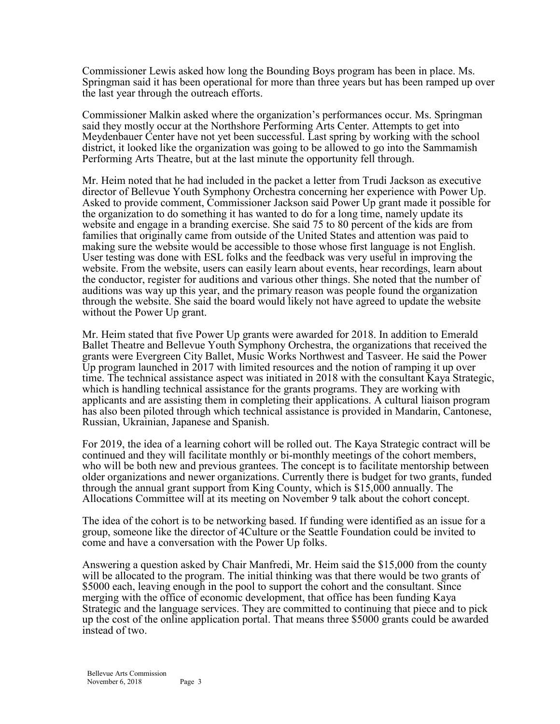Commissioner Lewis asked how long the Bounding Boys program has been in place. Ms. Springman said it has been operational for more than three years but has been ramped up over the last year through the outreach efforts.

Commissioner Malkin asked where the organization's performances occur. Ms. Springman said they mostly occur at the Northshore Performing Arts Center. Attempts to get into Meydenbauer Center have not yet been successful. Last spring by working with the school district, it looked like the organization was going to be allowed to go into the Sammamish Performing Arts Theatre, but at the last minute the opportunity fell through.

Mr. Heim noted that he had included in the packet a letter from Trudi Jackson as executive director of Bellevue Youth Symphony Orchestra concerning her experience with Power Up. Asked to provide comment, Commissioner Jackson said Power Up grant made it possible for the organization to do something it has wanted to do for a long time, namely update its website and engage in a branding exercise. She said 75 to 80 percent of the kids are from families that originally came from outside of the United States and attention was paid to making sure the website would be accessible to those whose first language is not English. User testing was done with ESL folks and the feedback was very useful in improving the website. From the website, users can easily learn about events, hear recordings, learn about the conductor, register for auditions and various other things. She noted that the number of auditions was way up this year, and the primary reason was people found the organization through the website. She said the board would likely not have agreed to update the website without the Power Up grant.

Mr. Heim stated that five Power Up grants were awarded for 2018. In addition to Emerald Ballet Theatre and Bellevue Youth Symphony Orchestra, the organizations that received the grants were Evergreen City Ballet, Music Works Northwest and Tasveer. He said the Power Up program launched in 2017 with limited resources and the notion of ramping it up over time. The technical assistance aspect was initiated in 2018 with the consultant Kaya Strategic, which is handling technical assistance for the grants programs. They are working with applicants and are assisting them in completing their applications. A cultural liaison program has also been piloted through which technical assistance is provided in Mandarin, Cantonese, Russian, Ukrainian, Japanese and Spanish.

For 2019, the idea of a learning cohort will be rolled out. The Kaya Strategic contract will be continued and they will facilitate monthly or bi-monthly meetings of the cohort members, who will be both new and previous grantees. The concept is to facilitate mentorship between older organizations and newer organizations. Currently there is budget for two grants, funded through the annual grant support from King County, which is \$15,000 annually. The Allocations Committee will at its meeting on November 9 talk about the cohort concept.

The idea of the cohort is to be networking based. If funding were identified as an issue for a group, someone like the director of 4Culture or the Seattle Foundation could be invited to come and have a conversation with the Power Up folks.

Answering a question asked by Chair Manfredi, Mr. Heim said the \$15,000 from the county will be allocated to the program. The initial thinking was that there would be two grants of \$5000 each, leaving enough in the pool to support the cohort and the consultant. Since merging with the office of economic development, that office has been funding Kaya Strategic and the language services. They are committed to continuing that piece and to pick up the cost of the online application portal. That means three \$5000 grants could be awarded instead of two.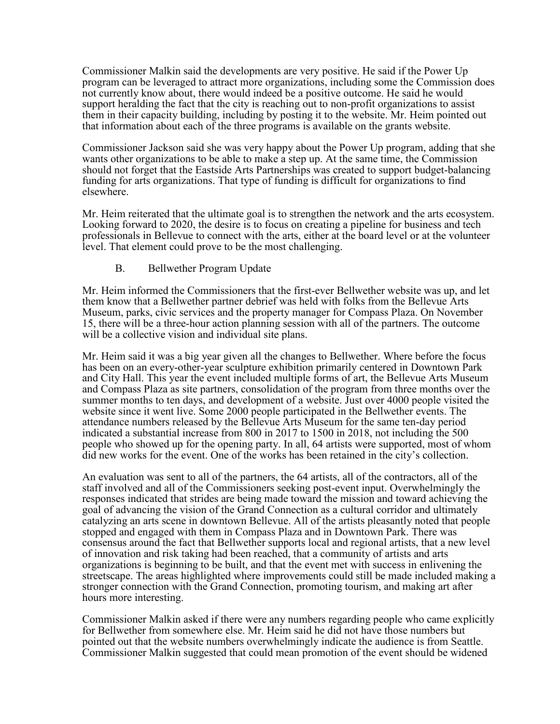Commissioner Malkin said the developments are very positive. He said if the Power Up program can be leveraged to attract more organizations, including some the Commission does not currently know about, there would indeed be a positive outcome. He said he would support heralding the fact that the city is reaching out to non-profit organizations to assist them in their capacity building, including by posting it to the website. Mr. Heim pointed out that information about each of the three programs is available on the grants website.

Commissioner Jackson said she was very happy about the Power Up program, adding that she wants other organizations to be able to make a step up. At the same time, the Commission should not forget that the Eastside Arts Partnerships was created to support budget-balancing funding for arts organizations. That type of funding is difficult for organizations to find elsewhere.

Mr. Heim reiterated that the ultimate goal is to strengthen the network and the arts ecosystem. Looking forward to 2020, the desire is to focus on creating a pipeline for business and tech professionals in Bellevue to connect with the arts, either at the board level or at the volunteer level. That element could prove to be the most challenging.

## B. Bellwether Program Update

Mr. Heim informed the Commissioners that the first-ever Bellwether website was up, and let them know that a Bellwether partner debrief was held with folks from the Bellevue Arts Museum, parks, civic services and the property manager for Compass Plaza. On November 15, there will be a three-hour action planning session with all of the partners. The outcome will be a collective vision and individual site plans.

Mr. Heim said it was a big year given all the changes to Bellwether. Where before the focus has been on an every-other-year sculpture exhibition primarily centered in Downtown Park and City Hall. This year the event included multiple forms of art, the Bellevue Arts Museum and Compass Plaza as site partners, consolidation of the program from three months over the summer months to ten days, and development of a website. Just over 4000 people visited the website since it went live. Some 2000 people participated in the Bellwether events. The attendance numbers released by the Bellevue Arts Museum for the same ten-day period indicated a substantial increase from 800 in 2017 to 1500 in 2018, not including the 500 people who showed up for the opening party. In all, 64 artists were supported, most of whom did new works for the event. One of the works has been retained in the city's collection.

An evaluation was sent to all of the partners, the 64 artists, all of the contractors, all of the staff involved and all of the Commissioners seeking post-event input. Overwhelmingly the responses indicated that strides are being made toward the mission and toward achieving the goal of advancing the vision of the Grand Connection as a cultural corridor and ultimately catalyzing an arts scene in downtown Bellevue. All of the artists pleasantly noted that people stopped and engaged with them in Compass Plaza and in Downtown Park. There was consensus around the fact that Bellwether supports local and regional artists, that a new level of innovation and risk taking had been reached, that a community of artists and arts organizations is beginning to be built, and that the event met with success in enlivening the streetscape. The areas highlighted where improvements could still be made included making a stronger connection with the Grand Connection, promoting tourism, and making art after hours more interesting.

Commissioner Malkin asked if there were any numbers regarding people who came explicitly for Bellwether from somewhere else. Mr. Heim said he did not have those numbers but pointed out that the website numbers overwhelmingly indicate the audience is from Seattle. Commissioner Malkin suggested that could mean promotion of the event should be widened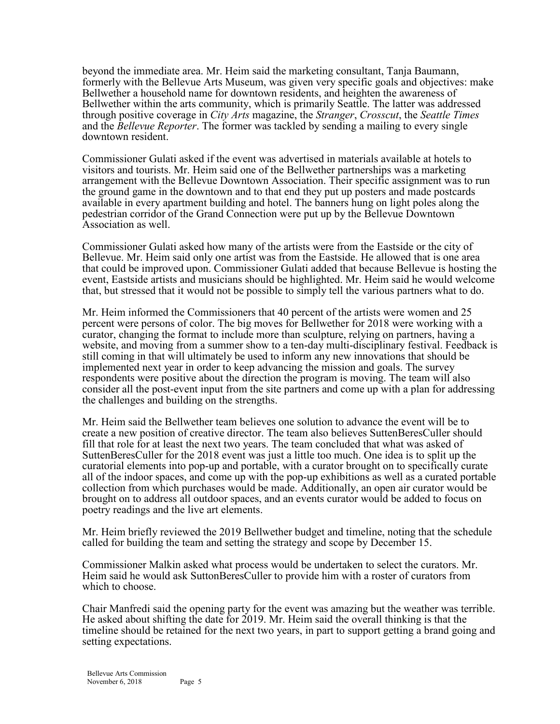beyond the immediate area. Mr. Heim said the marketing consultant, Tanja Baumann, formerly with the Bellevue Arts Museum, was given very specific goals and objectives: make Bellwether a household name for downtown residents, and heighten the awareness of Bellwether within the arts community, which is primarily Seattle. The latter was addressed through positive coverage in *City Arts* magazine, the *Stranger*, *Crosscut*, the *Seattle Times* and the *Bellevue Reporter*. The former was tackled by sending a mailing to every single downtown resident.

Commissioner Gulati asked if the event was advertised in materials available at hotels to visitors and tourists. Mr. Heim said one of the Bellwether partnerships was a marketing arrangement with the Bellevue Downtown Association. Their specific assignment was to run the ground game in the downtown and to that end they put up posters and made postcards available in every apartment building and hotel. The banners hung on light poles along the pedestrian corridor of the Grand Connection were put up by the Bellevue Downtown Association as well.

Commissioner Gulati asked how many of the artists were from the Eastside or the city of Bellevue. Mr. Heim said only one artist was from the Eastside. He allowed that is one area that could be improved upon. Commissioner Gulati added that because Bellevue is hosting the event, Eastside artists and musicians should be highlighted. Mr. Heim said he would welcome that, but stressed that it would not be possible to simply tell the various partners what to do.

Mr. Heim informed the Commissioners that 40 percent of the artists were women and 25 percent were persons of color. The big moves for Bellwether for 2018 were working with a curator, changing the format to include more than sculpture, relying on partners, having a website, and moving from a summer show to a ten-day multi-disciplinary festival. Feedback is still coming in that will ultimately be used to inform any new innovations that should be implemented next year in order to keep advancing the mission and goals. The survey respondents were positive about the direction the program is moving. The team will also consider all the post-event input from the site partners and come up with a plan for addressing the challenges and building on the strengths.

Mr. Heim said the Bellwether team believes one solution to advance the event will be to create a new position of creative director. The team also believes SuttenBeresCuller should fill that role for at least the next two years. The team concluded that what was asked of SuttenBeresCuller for the 2018 event was just a little too much. One idea is to split up the curatorial elements into pop-up and portable, with a curator brought on to specifically curate all of the indoor spaces, and come up with the pop-up exhibitions as well as a curated portable collection from which purchases would be made. Additionally, an open air curator would be brought on to address all outdoor spaces, and an events curator would be added to focus on poetry readings and the live art elements.

Mr. Heim briefly reviewed the 2019 Bellwether budget and timeline, noting that the schedule called for building the team and setting the strategy and scope by December 15.

Commissioner Malkin asked what process would be undertaken to select the curators. Mr. Heim said he would ask SuttonBeresCuller to provide him with a roster of curators from which to choose.

Chair Manfredi said the opening party for the event was amazing but the weather was terrible. He asked about shifting the date for 2019. Mr. Heim said the overall thinking is that the timeline should be retained for the next two years, in part to support getting a brand going and setting expectations.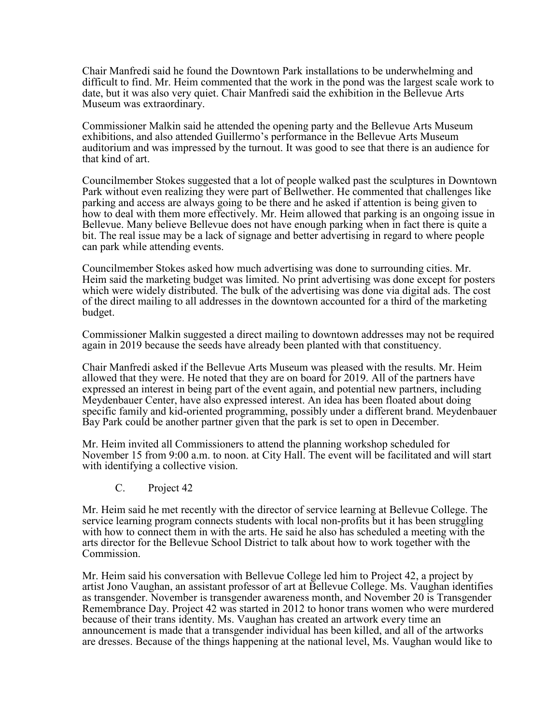Chair Manfredi said he found the Downtown Park installations to be underwhelming and difficult to find. Mr. Heim commented that the work in the pond was the largest scale work to date, but it was also very quiet. Chair Manfredi said the exhibition in the Bellevue Arts Museum was extraordinary.

Commissioner Malkin said he attended the opening party and the Bellevue Arts Museum exhibitions, and also attended Guillermo's performance in the Bellevue Arts Museum auditorium and was impressed by the turnout. It was good to see that there is an audience for that kind of art.

Councilmember Stokes suggested that a lot of people walked past the sculptures in Downtown Park without even realizing they were part of Bellwether. He commented that challenges like parking and access are always going to be there and he asked if attention is being given to how to deal with them more effectively. Mr. Heim allowed that parking is an ongoing issue in Bellevue. Many believe Bellevue does not have enough parking when in fact there is quite a bit. The real issue may be a lack of signage and better advertising in regard to where people can park while attending events.

Councilmember Stokes asked how much advertising was done to surrounding cities. Mr. Heim said the marketing budget was limited. No print advertising was done except for posters which were widely distributed. The bulk of the advertising was done via digital ads. The cost of the direct mailing to all addresses in the downtown accounted for a third of the marketing budget.

Commissioner Malkin suggested a direct mailing to downtown addresses may not be required again in 2019 because the seeds have already been planted with that constituency.

Chair Manfredi asked if the Bellevue Arts Museum was pleased with the results. Mr. Heim allowed that they were. He noted that they are on board for 2019. All of the partners have expressed an interest in being part of the event again, and potential new partners, including Meydenbauer Center, have also expressed interest. An idea has been floated about doing specific family and kid-oriented programming, possibly under a different brand. Meydenbauer Bay Park could be another partner given that the park is set to open in December.

Mr. Heim invited all Commissioners to attend the planning workshop scheduled for November 15 from 9:00 a.m. to noon. at City Hall. The event will be facilitated and will start with identifying a collective vision.

C. Project 42

Mr. Heim said he met recently with the director of service learning at Bellevue College. The service learning program connects students with local non-profits but it has been struggling with how to connect them in with the arts. He said he also has scheduled a meeting with the arts director for the Bellevue School District to talk about how to work together with the Commission.

Mr. Heim said his conversation with Bellevue College led him to Project 42, a project by artist Jono Vaughan, an assistant professor of art at Bellevue College. Ms. Vaughan identifies as transgender. November is transgender awareness month, and November 20 is Transgender Remembrance Day. Project 42 was started in 2012 to honor trans women who were murdered because of their trans identity. Ms. Vaughan has created an artwork every time an announcement is made that a transgender individual has been killed, and all of the artworks are dresses. Because of the things happening at the national level, Ms. Vaughan would like to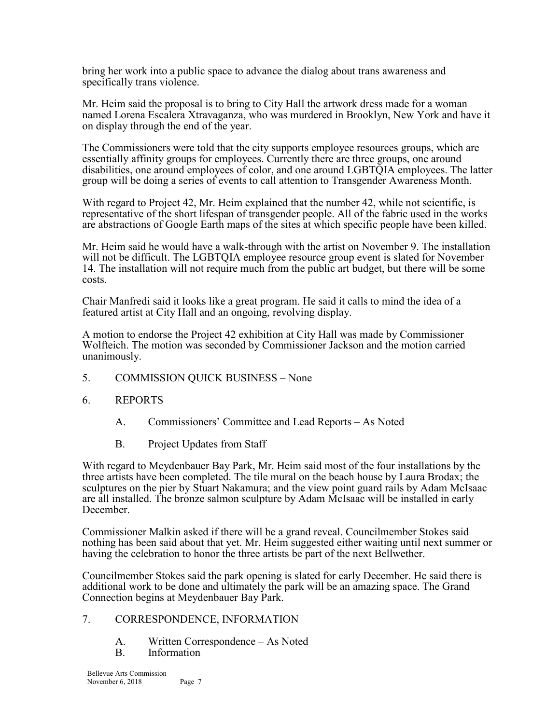bring her work into a public space to advance the dialog about trans awareness and specifically trans violence.

Mr. Heim said the proposal is to bring to City Hall the artwork dress made for a woman named Lorena Escalera Xtravaganza, who was murdered in Brooklyn, New York and have it on display through the end of the year.

The Commissioners were told that the city supports employee resources groups, which are essentially affinity groups for employees. Currently there are three groups, one around disabilities, one around employees of color, and one around LGBTQIA employees. The latter group will be doing a series of events to call attention to Transgender Awareness Month.

With regard to Project 42, Mr. Heim explained that the number 42, while not scientific, is representative of the short lifespan of transgender people. All of the fabric used in the works are abstractions of Google Earth maps of the sites at which specific people have been killed.

Mr. Heim said he would have a walk-through with the artist on November 9. The installation will not be difficult. The LGBTQIA employee resource group event is slated for November 14. The installation will not require much from the public art budget, but there will be some costs.

Chair Manfredi said it looks like a great program. He said it calls to mind the idea of a featured artist at City Hall and an ongoing, revolving display.

A motion to endorse the Project 42 exhibition at City Hall was made by Commissioner Wolfteich. The motion was seconded by Commissioner Jackson and the motion carried unanimously.

- 5. COMMISSION QUICK BUSINESS None
- 6. REPORTS
	- A. Commissioners' Committee and Lead Reports As Noted
	- B. Project Updates from Staff

With regard to Meydenbauer Bay Park, Mr. Heim said most of the four installations by the three artists have been completed. The tile mural on the beach house by Laura Brodax; the sculptures on the pier by Stuart Nakamura; and the view point guard rails by Adam McIsaac are all installed. The bronze salmon sculpture by Adam McIsaac will be installed in early December.

Commissioner Malkin asked if there will be a grand reveal. Councilmember Stokes said nothing has been said about that yet. Mr. Heim suggested either waiting until next summer or having the celebration to honor the three artists be part of the next Bellwether.

Councilmember Stokes said the park opening is slated for early December. He said there is additional work to be done and ultimately the park will be an amazing space. The Grand Connection begins at Meydenbauer Bay Park.

#### 7. CORRESPONDENCE, INFORMATION

- A. Written Correspondence As Noted
- B. Information